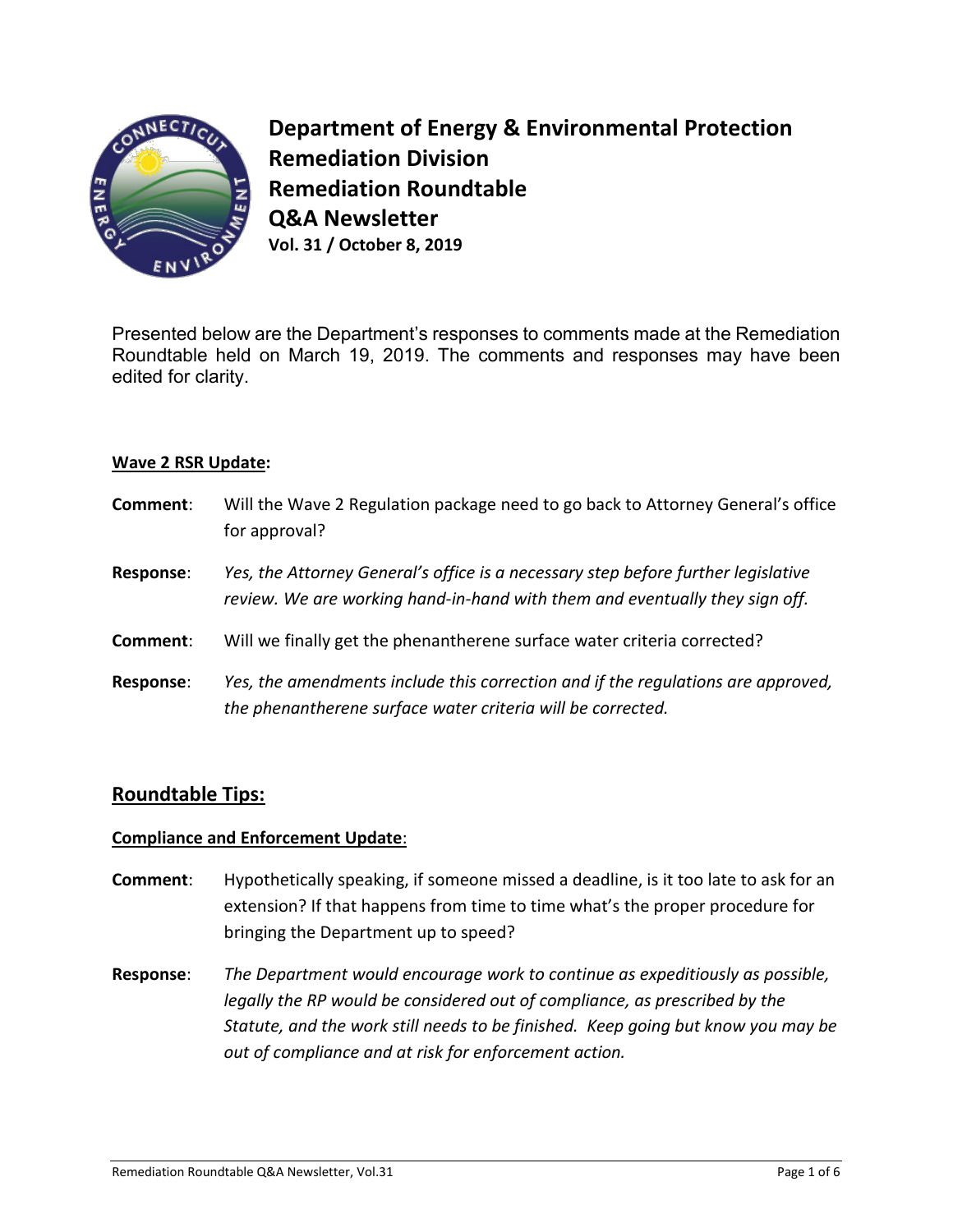

**Department of Energy & Environmental Protection Remediation Division Remediation Roundtable Q&A Newsletter Vol. 31 / October 8, 2019**

Presented below are the Department's responses to comments made at the Remediation Roundtable held on March 19, 2019. The comments and responses may have been edited for clarity.

## **Wave 2 RSR Update:**

| Comment:         | Will the Wave 2 Regulation package need to go back to Attorney General's office<br>for approval?                                                                 |
|------------------|------------------------------------------------------------------------------------------------------------------------------------------------------------------|
| <b>Response:</b> | Yes, the Attorney General's office is a necessary step before further legislative<br>review. We are working hand-in-hand with them and eventually they sign off. |
| Comment:         | Will we finally get the phenantherene surface water criteria corrected?                                                                                          |
| <b>Response:</b> | Yes, the amendments include this correction and if the regulations are approved,<br>the phenantherene surface water criteria will be corrected.                  |

## **Roundtable Tips:**

## **Compliance and Enforcement Update**:

- **Comment**: Hypothetically speaking, if someone missed a deadline, is it too late to ask for an extension? If that happens from time to time what's the proper procedure for bringing the Department up to speed?
- **Response**: *The Department would encourage work to continue as expeditiously as possible, legally the RP would be considered out of compliance, as prescribed by the Statute, and the work still needs to be finished. Keep going but know you may be out of compliance and at risk for enforcement action.*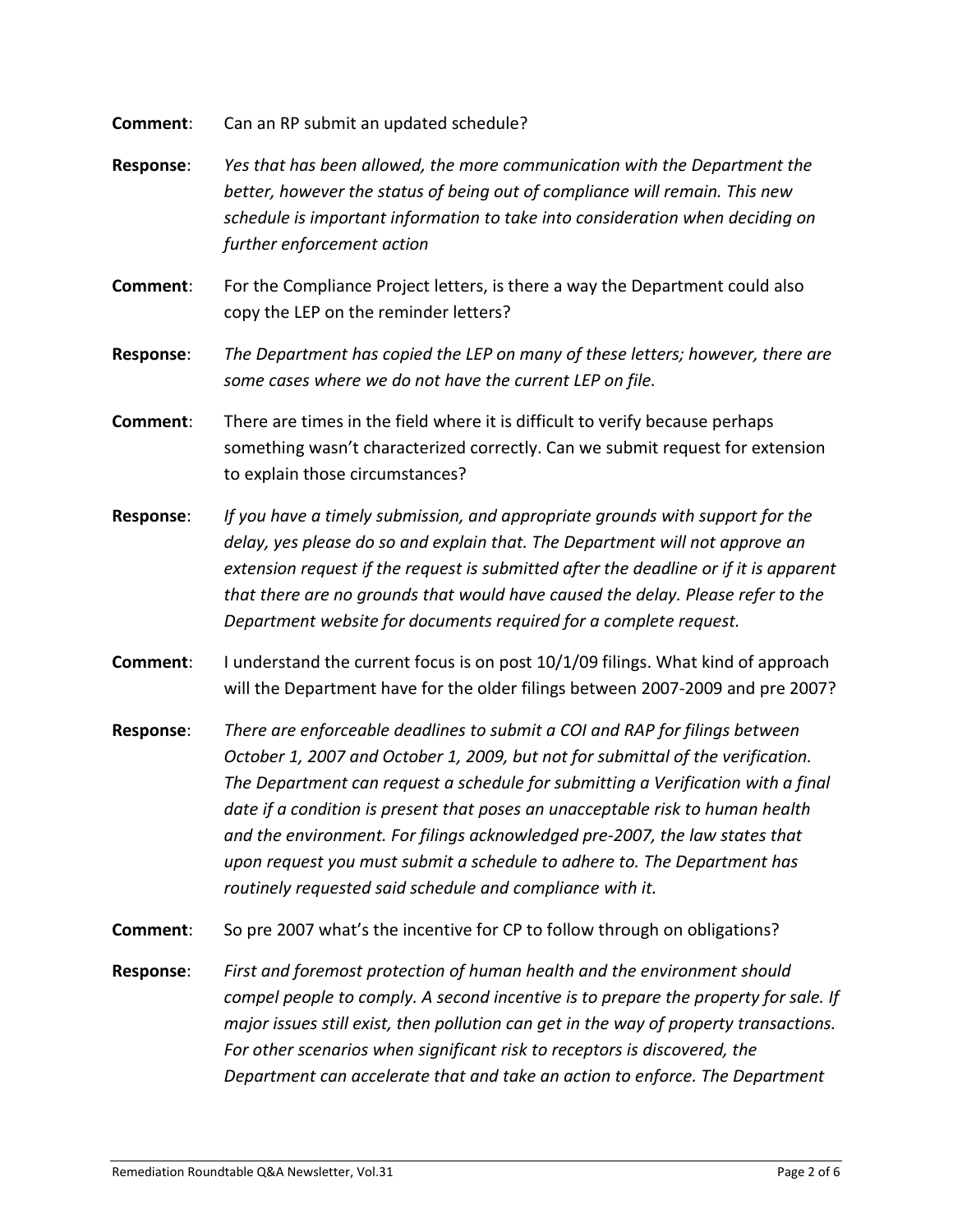**Comment**: Can an RP submit an updated schedule?

- **Response**: *Yes that has been allowed, the more communication with the Department the better, however the status of being out of compliance will remain. This new schedule is important information to take into consideration when deciding on further enforcement action*
- **Comment**: For the Compliance Project letters, is there a way the Department could also copy the LEP on the reminder letters?
- **Response**: *The Department has copied the LEP on many of these letters; however, there are some cases where we do not have the current LEP on file.*
- **Comment**: There are times in the field where it is difficult to verify because perhaps something wasn't characterized correctly. Can we submit request for extension to explain those circumstances?
- **Response**: *If you have a timely submission, and appropriate grounds with support for the delay, yes please do so and explain that. The Department will not approve an extension request if the request is submitted after the deadline or if it is apparent that there are no grounds that would have caused the delay. Please refer to the Department website for documents required for a complete request.*
- **Comment:** I understand the current focus is on post 10/1/09 filings. What kind of approach will the Department have for the older filings between 2007-2009 and pre 2007?
- **Response**: *There are enforceable deadlines to submit a COI and RAP for filings between October 1, 2007 and October 1, 2009, but not for submittal of the verification. The Department can request a schedule for submitting a Verification with a final date if a condition is present that poses an unacceptable risk to human health and the environment. For filings acknowledged pre-2007, the law states that upon request you must submit a schedule to adhere to. The Department has routinely requested said schedule and compliance with it.*
- **Comment**: So pre 2007 what's the incentive for CP to follow through on obligations?
- **Response**: *First and foremost protection of human health and the environment should compel people to comply. A second incentive is to prepare the property for sale. If major issues still exist, then pollution can get in the way of property transactions. For other scenarios when significant risk to receptors is discovered, the Department can accelerate that and take an action to enforce. The Department*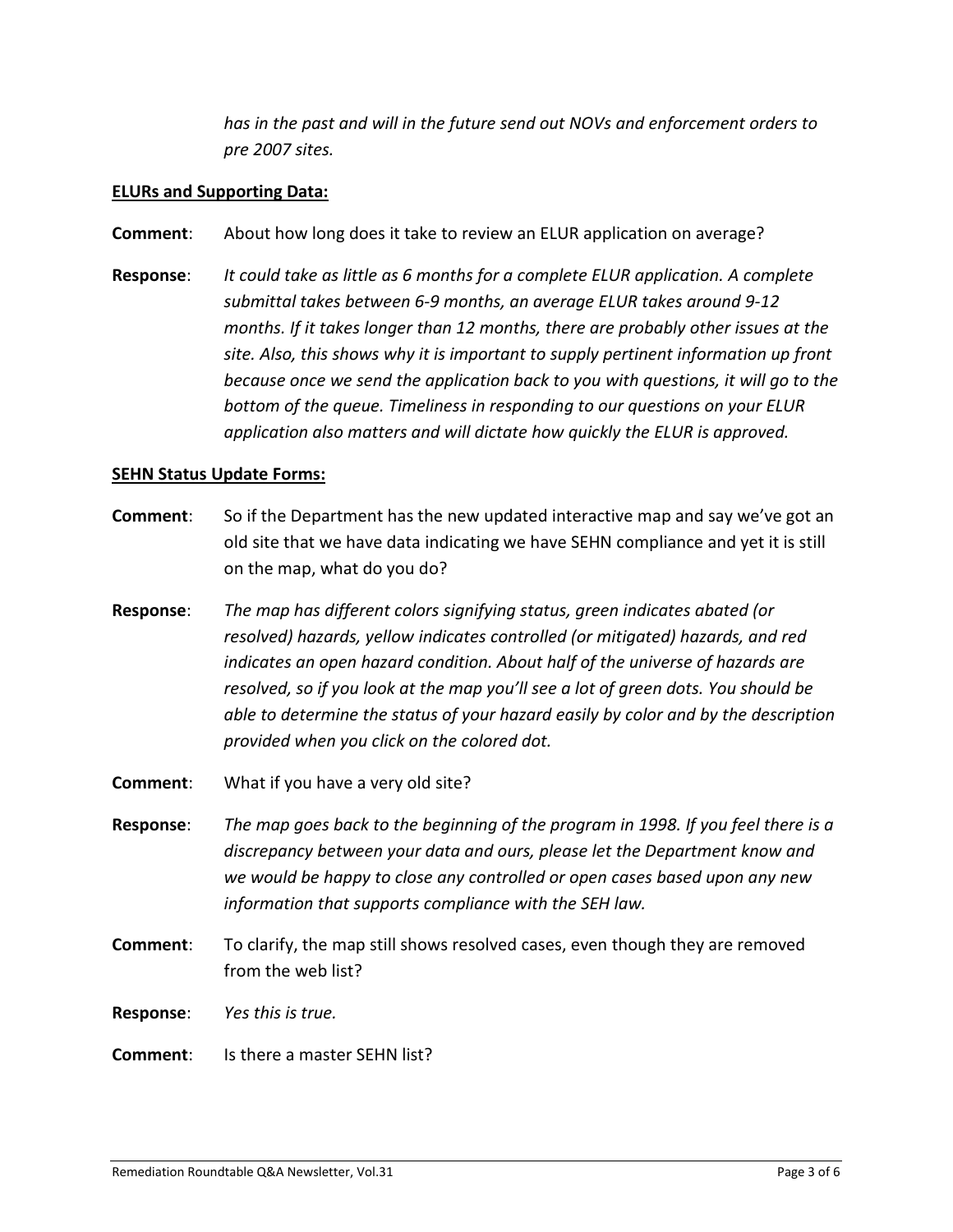*has in the past and will in the future send out NOVs and enforcement orders to pre 2007 sites.* 

## **ELURs and Supporting Data:**

- **Comment**: About how long does it take to review an ELUR application on average?
- **Response**: *It could take as little as 6 months for a complete ELUR application. A complete submittal takes between 6-9 months, an average ELUR takes around 9-12 months. If it takes longer than 12 months, there are probably other issues at the site. Also, this shows why it is important to supply pertinent information up front because once we send the application back to you with questions, it will go to the bottom of the queue. Timeliness in responding to our questions on your ELUR application also matters and will dictate how quickly the ELUR is approved.*

#### **SEHN Status Update Forms:**

- **Comment**: So if the Department has the new updated interactive map and say we've got an old site that we have data indicating we have SEHN compliance and yet it is still on the map, what do you do?
- **Response**: *The map has different colors signifying status, green indicates abated (or resolved) hazards, yellow indicates controlled (or mitigated) hazards, and red indicates an open hazard condition. About half of the universe of hazards are resolved, so if you look at the map you'll see a lot of green dots. You should be able to determine the status of your hazard easily by color and by the description provided when you click on the colored dot.*
- **Comment**: What if you have a very old site?
- **Response**: *The map goes back to the beginning of the program in 1998. If you feel there is a discrepancy between your data and ours, please let the Department know and we would be happy to close any controlled or open cases based upon any new information that supports compliance with the SEH law.*
- **Comment**: To clarify, the map still shows resolved cases, even though they are removed from the web list?
- **Response**: *Yes this is true.*
- **Comment**: Is there a master SEHN list?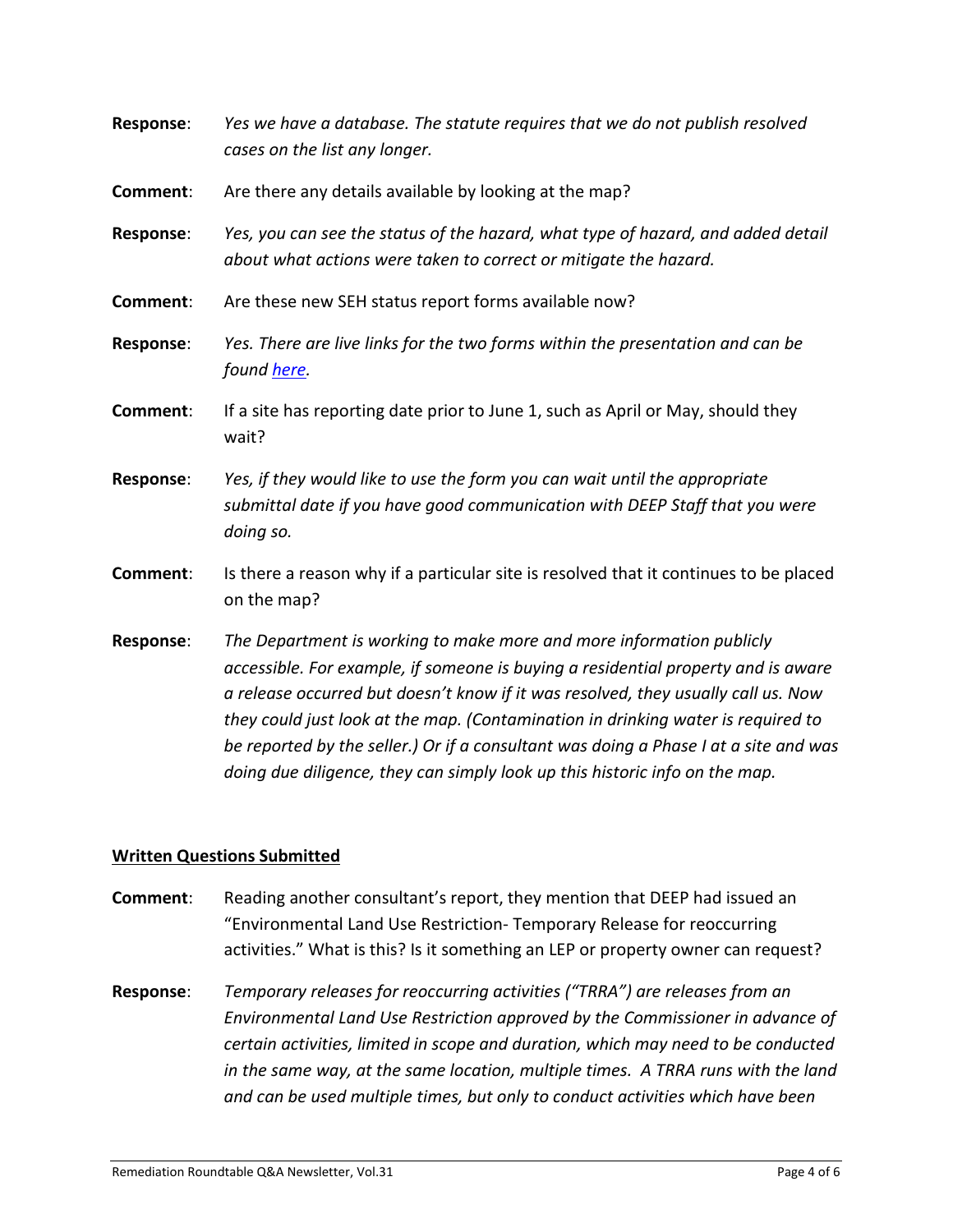| <b>Response:</b> | Yes we have a database. The statute requires that we do not publish resolved<br>cases on the list any longer.                                                                                                                                                                                                                                                                                                              |
|------------------|----------------------------------------------------------------------------------------------------------------------------------------------------------------------------------------------------------------------------------------------------------------------------------------------------------------------------------------------------------------------------------------------------------------------------|
| Comment:         | Are there any details available by looking at the map?                                                                                                                                                                                                                                                                                                                                                                     |
| Response:        | Yes, you can see the status of the hazard, what type of hazard, and added detail<br>about what actions were taken to correct or mitigate the hazard.                                                                                                                                                                                                                                                                       |
| Comment:         | Are these new SEH status report forms available now?                                                                                                                                                                                                                                                                                                                                                                       |
| <b>Response:</b> | Yes. There are live links for the two forms within the presentation and can be<br>found here.                                                                                                                                                                                                                                                                                                                              |
| Comment:         | If a site has reporting date prior to June 1, such as April or May, should they<br>wait?                                                                                                                                                                                                                                                                                                                                   |
| Response:        | Yes, if they would like to use the form you can wait until the appropriate<br>submittal date if you have good communication with DEEP Staff that you were<br>doing so.                                                                                                                                                                                                                                                     |
| Comment:         | Is there a reason why if a particular site is resolved that it continues to be placed<br>on the map?                                                                                                                                                                                                                                                                                                                       |
| Response:        | The Department is working to make more and more information publicly<br>accessible. For example, if someone is buying a residential property and is aware<br>a release occurred but doesn't know if it was resolved, they usually call us. Now<br>they could just look at the map. (Contamination in drinking water is required to<br>be reported by the seller.) Or if a consultant was doing a Phase I at a site and was |

## **Written Questions Submitted**

**Comment:** Reading another consultant's report, they mention that DEEP had issued an "Environmental Land Use Restriction- Temporary Release for reoccurring activities." What is this? Is it something an LEP or property owner can request?

*doing due diligence, they can simply look up this historic info on the map.*

**Response**: *Temporary releases for reoccurring activities ("TRRA") are releases from an Environmental Land Use Restriction approved by the Commissioner in advance of certain activities, limited in scope and duration, which may need to be conducted in the same way, at the same location, multiple times. A TRRA runs with the land and can be used multiple times, but only to conduct activities which have been*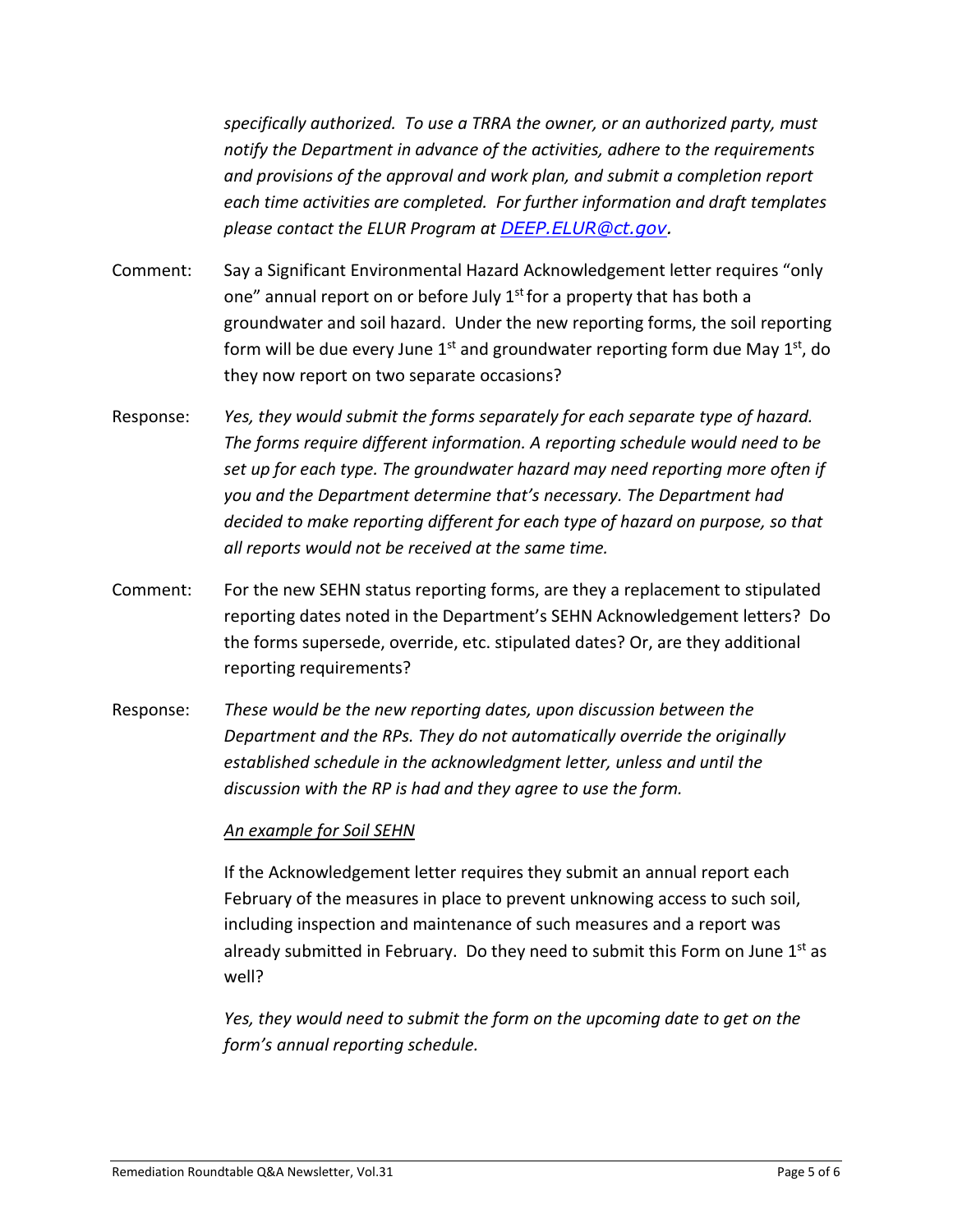*specifically authorized. To use a TRRA the owner, or an authorized party, must notify the Department in advance of the activities, adhere to the requirements and provisions of the approval and work plan, and submit a completion report each time activities are completed. For further information and draft templates please contact the ELUR Program at [DEEP.ELUR@ct.gov.](mailto:DEEP.ELUR@ct.gov)*

- Comment: Say a Significant Environmental Hazard Acknowledgement letter requires "only one" annual report on or before July 1<sup>st</sup> for a property that has both a groundwater and soil hazard. Under the new reporting forms, the soil reporting form will be due every June  $1^{st}$  and groundwater reporting form due May  $1^{st}$ , do they now report on two separate occasions?
- Response: *Yes, they would submit the forms separately for each separate type of hazard. The forms require different information. A reporting schedule would need to be set up for each type. The groundwater hazard may need reporting more often if you and the Department determine that's necessary. The Department had decided to make reporting different for each type of hazard on purpose, so that all reports would not be received at the same time.*
- Comment: For the new SEHN status reporting forms, are they a replacement to stipulated reporting dates noted in the Department's SEHN Acknowledgement letters? Do the forms supersede, override, etc. stipulated dates? Or, are they additional reporting requirements?
- Response: *These would be the new reporting dates, upon discussion between the Department and the RPs. They do not automatically override the originally established schedule in the acknowledgment letter, unless and until the discussion with the RP is had and they agree to use the form.*

## *An example for Soil SEHN*

If the Acknowledgement letter requires they submit an annual report each February of the measures in place to prevent unknowing access to such soil, including inspection and maintenance of such measures and a report was already submitted in February. Do they need to submit this Form on June  $1<sup>st</sup>$  as well?

*Yes, they would need to submit the form on the upcoming date to get on the form's annual reporting schedule.*